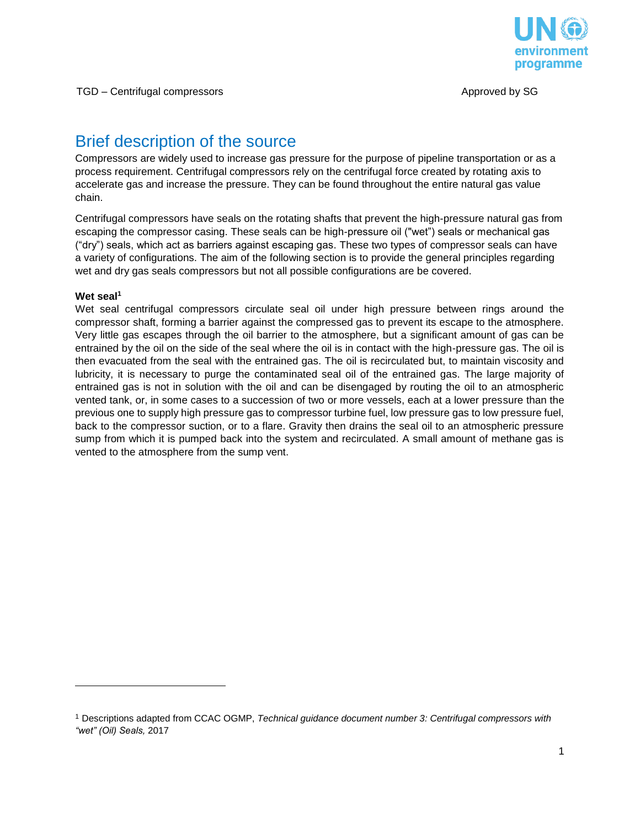

# Brief description of the source

Compressors are widely used to increase gas pressure for the purpose of pipeline transportation or as a process requirement. Centrifugal compressors rely on the centrifugal force created by rotating axis to accelerate gas and increase the pressure. They can be found throughout the entire natural gas value chain.

Centrifugal compressors have seals on the rotating shafts that prevent the high-pressure natural gas from escaping the compressor casing. These seals can be high-pressure oil ("wet") seals or mechanical gas ("dry") seals, which act as barriers against escaping gas. These two types of compressor seals can have a variety of configurations. The aim of the following section is to provide the general principles regarding wet and dry gas seals compressors but not all possible configurations are be covered.

## **Wet seal<sup>1</sup>**

l

Wet seal centrifugal compressors circulate seal oil under high pressure between rings around the compressor shaft, forming a barrier against the compressed gas to prevent its escape to the atmosphere. Very little gas escapes through the oil barrier to the atmosphere, but a significant amount of gas can be entrained by the oil on the side of the seal where the oil is in contact with the high-pressure gas. The oil is then evacuated from the seal with the entrained gas. The oil is recirculated but, to maintain viscosity and lubricity, it is necessary to purge the contaminated seal oil of the entrained gas. The large majority of entrained gas is not in solution with the oil and can be disengaged by routing the oil to an atmospheric vented tank, or, in some cases to a succession of two or more vessels, each at a lower pressure than the previous one to supply high pressure gas to compressor turbine fuel, low pressure gas to low pressure fuel, back to the compressor suction, or to a flare. Gravity then drains the seal oil to an atmospheric pressure sump from which it is pumped back into the system and recirculated. A small amount of methane gas is vented to the atmosphere from the sump vent.

<sup>1</sup> Descriptions adapted from CCAC OGMP, *Technical guidance document number 3: Centrifugal compressors with "wet" (Oil) Seals,* 2017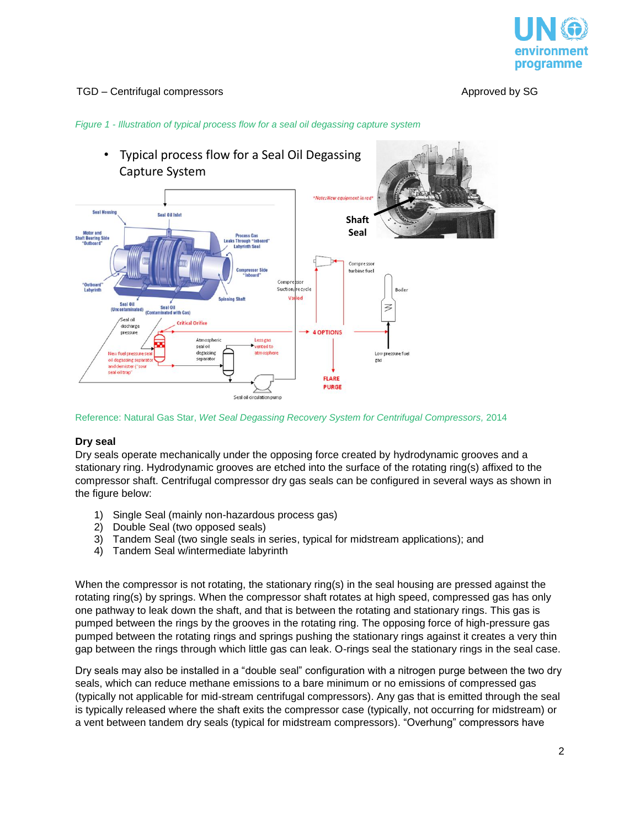

#### *Figure 1 - Illustration of typical process flow for a seal oil degassing capture system*



Reference: Natural Gas Star, *Wet Seal Degassing Recovery System for Centrifugal Compressors,* 2014

#### **Dry seal**

Dry seals operate mechanically under the opposing force created by hydrodynamic grooves and a stationary ring. Hydrodynamic grooves are etched into the surface of the rotating ring(s) affixed to the compressor shaft. Centrifugal compressor dry gas seals can be configured in several ways as shown in the figure below:

- 1) Single Seal (mainly non-hazardous process gas)
- 2) Double Seal (two opposed seals)
- 3) Tandem Seal (two single seals in series, typical for midstream applications); and
- 4) Tandem Seal w/intermediate labyrinth

When the compressor is not rotating, the stationary ring(s) in the seal housing are pressed against the rotating ring(s) by springs. When the compressor shaft rotates at high speed, compressed gas has only one pathway to leak down the shaft, and that is between the rotating and stationary rings. This gas is pumped between the rings by the grooves in the rotating ring. The opposing force of high-pressure gas pumped between the rotating rings and springs pushing the stationary rings against it creates a very thin gap between the rings through which little gas can leak. O-rings seal the stationary rings in the seal case.

Dry seals may also be installed in a "double seal" configuration with a nitrogen purge between the two dry seals, which can reduce methane emissions to a bare minimum or no emissions of compressed gas (typically not applicable for mid-stream centrifugal compressors). Any gas that is emitted through the seal is typically released where the shaft exits the compressor case (typically, not occurring for midstream) or a vent between tandem dry seals (typical for midstream compressors). "Overhung" compressors have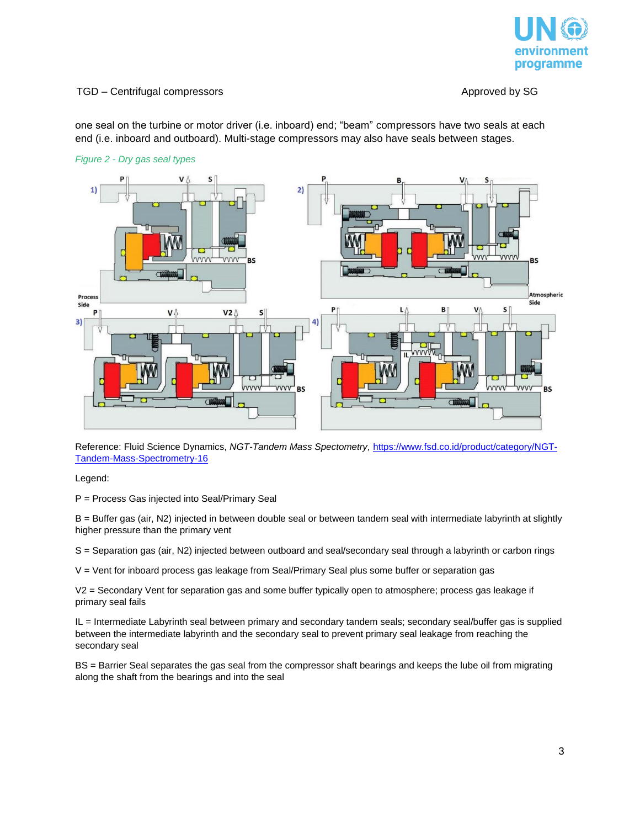

one seal on the turbine or motor driver (i.e. inboard) end; "beam" compressors have two seals at each end (i.e. inboard and outboard). Multi-stage compressors may also have seals between stages.





Reference: Fluid Science Dynamics, *NGT-Tandem Mass Spectometry,* [https://www.fsd.co.id/product/category/NGT-](https://www.fsd.co.id/product/category/NGT-Tandem-Mass-Spectrometry-16)[Tandem-Mass-Spectrometry-16](https://www.fsd.co.id/product/category/NGT-Tandem-Mass-Spectrometry-16)

Legend:

P = Process Gas injected into Seal/Primary Seal

B = Buffer gas (air, N2) injected in between double seal or between tandem seal with intermediate labyrinth at slightly higher pressure than the primary vent

S = Separation gas (air, N2) injected between outboard and seal/secondary seal through a labyrinth or carbon rings

 $V =$  Vent for inboard process gas leakage from Seal/Primary Seal plus some buffer or separation gas

V2 = Secondary Vent for separation gas and some buffer typically open to atmosphere; process gas leakage if primary seal fails

IL = Intermediate Labyrinth seal between primary and secondary tandem seals; secondary seal/buffer gas is supplied between the intermediate labyrinth and the secondary seal to prevent primary seal leakage from reaching the secondary seal

BS = Barrier Seal separates the gas seal from the compressor shaft bearings and keeps the lube oil from migrating along the shaft from the bearings and into the seal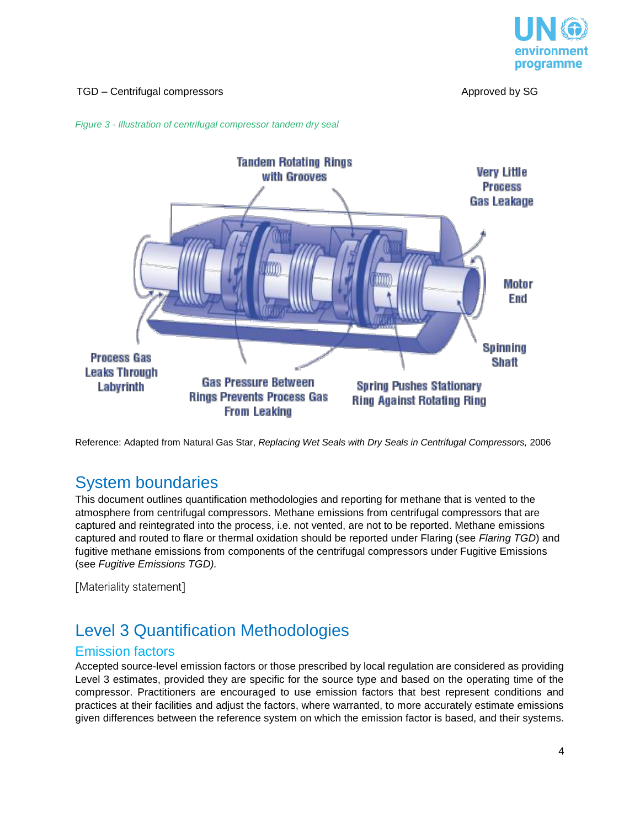





Reference: Adapted from Natural Gas Star, *Replacing Wet Seals with Dry Seals in Centrifugal Compressors,* 2006

## System boundaries

This document outlines quantification methodologies and reporting for methane that is vented to the atmosphere from centrifugal compressors. Methane emissions from centrifugal compressors that are captured and reintegrated into the process, i.e. not vented, are not to be reported. Methane emissions captured and routed to flare or thermal oxidation should be reported under Flaring (see *Flaring TGD*) and fugitive methane emissions from components of the centrifugal compressors under Fugitive Emissions (see *Fugitive Emissions TGD).*

[Materiality statement]

# Level 3 Quantification Methodologies

## Emission factors

Accepted source-level emission factors or those prescribed by local regulation are considered as providing Level 3 estimates, provided they are specific for the source type and based on the operating time of the compressor. Practitioners are encouraged to use emission factors that best represent conditions and practices at their facilities and adjust the factors, where warranted, to more accurately estimate emissions given differences between the reference system on which the emission factor is based, and their systems.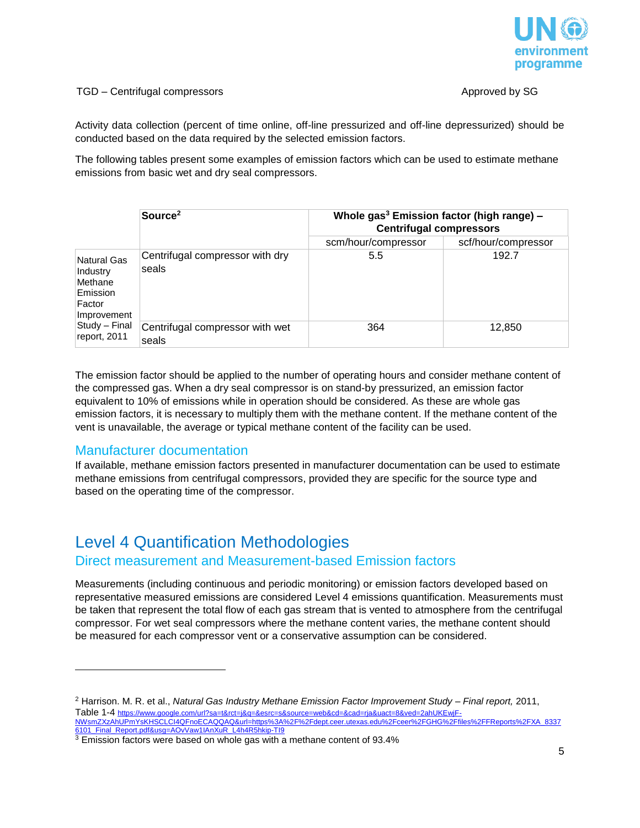

Activity data collection (percent of time online, off-line pressurized and off-line depressurized) should be conducted based on the data required by the selected emission factors.

The following tables present some examples of emission factors which can be used to estimate methane emissions from basic wet and dry seal compressors.

|                                                                                                          | Source <sup>2</sup>                      | Whole gas <sup>3</sup> Emission factor (high range) -<br><b>Centrifugal compressors</b> |                     |
|----------------------------------------------------------------------------------------------------------|------------------------------------------|-----------------------------------------------------------------------------------------|---------------------|
|                                                                                                          |                                          | scm/hour/compressor                                                                     | scf/hour/compressor |
| Natural Gas<br>Industry<br>Methane<br>Emission<br>Factor<br>Improvement<br>Study - Final<br>report, 2011 | Centrifugal compressor with dry<br>seals | 5.5                                                                                     | 192.7               |
|                                                                                                          | Centrifugal compressor with wet<br>seals | 364                                                                                     | 12,850              |

The emission factor should be applied to the number of operating hours and consider methane content of the compressed gas. When a dry seal compressor is on stand-by pressurized, an emission factor equivalent to 10% of emissions while in operation should be considered. As these are whole gas emission factors, it is necessary to multiply them with the methane content. If the methane content of the vent is unavailable, the average or typical methane content of the facility can be used.

## Manufacturer documentation

l

If available, methane emission factors presented in manufacturer documentation can be used to estimate methane emissions from centrifugal compressors, provided they are specific for the source type and based on the operating time of the compressor.

# Level 4 Quantification Methodologies Direct measurement and Measurement-based Emission factors

Measurements (including continuous and periodic monitoring) or emission factors developed based on representative measured emissions are considered Level 4 emissions quantification. Measurements must be taken that represent the total flow of each gas stream that is vented to atmosphere from the centrifugal compressor. For wet seal compressors where the methane content varies, the methane content should be measured for each compressor vent or a conservative assumption can be considered.

<sup>2</sup> Harrison. M. R. et al., *Natural Gas Industry Methane Emission Factor Improvement Study – Final report,* 2011, Table 1-4 [https://www.google.com/url?sa=t&rct=j&q=&esrc=s&source=web&cd=&cad=rja&uact=8&ved=2ahUKEwjF-](https://www.google.com/url?sa=t&rct=j&q=&esrc=s&source=web&cd=&cad=rja&uact=8&ved=2ahUKEwjF-NWsmZXzAhUPmYsKHSCLCI4QFnoECAQQAQ&url=https%3A%2F%2Fdept.ceer.utexas.edu%2Fceer%2FGHG%2Ffiles%2FFReports%2FXA_83376101_Final_Report.pdf&usg=AOvVaw1IAnXuR_L4h4R5hkip-TI9)[NWsmZXzAhUPmYsKHSCLCI4QFnoECAQQAQ&url=https%3A%2F%2Fdept.ceer.utexas.edu%2Fceer%2FGHG%2Ffiles%2FFReports%2FXA\\_8337](https://www.google.com/url?sa=t&rct=j&q=&esrc=s&source=web&cd=&cad=rja&uact=8&ved=2ahUKEwjF-NWsmZXzAhUPmYsKHSCLCI4QFnoECAQQAQ&url=https%3A%2F%2Fdept.ceer.utexas.edu%2Fceer%2FGHG%2Ffiles%2FFReports%2FXA_83376101_Final_Report.pdf&usg=AOvVaw1IAnXuR_L4h4R5hkip-TI9) [6101\\_Final\\_Report.pdf&usg=AOvVaw1IAnXuR\\_L4h4R5hkip-TI9](https://www.google.com/url?sa=t&rct=j&q=&esrc=s&source=web&cd=&cad=rja&uact=8&ved=2ahUKEwjF-NWsmZXzAhUPmYsKHSCLCI4QFnoECAQQAQ&url=https%3A%2F%2Fdept.ceer.utexas.edu%2Fceer%2FGHG%2Ffiles%2FFReports%2FXA_83376101_Final_Report.pdf&usg=AOvVaw1IAnXuR_L4h4R5hkip-TI9)

<sup>3</sup> Emission factors were based on whole gas with a methane content of 93.4%